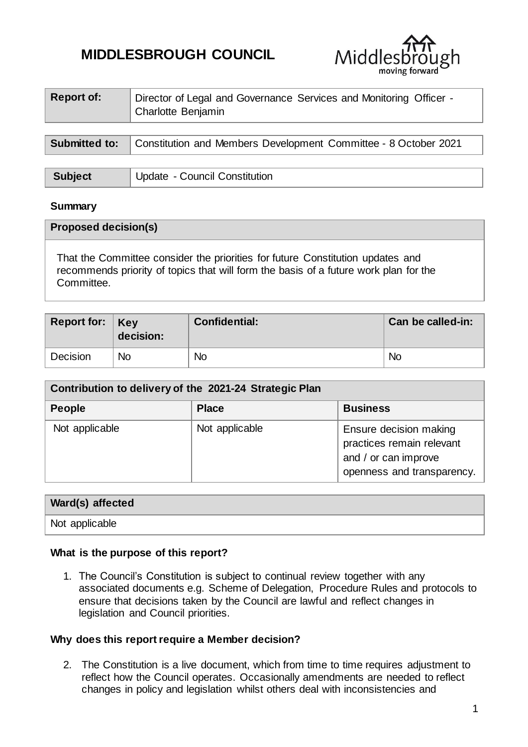# **MIDDLESBROUGH COUNCIL**



| <b>Report of:</b>    | Director of Legal and Governance Services and Monitoring Officer -<br>Charlotte Benjamin |
|----------------------|------------------------------------------------------------------------------------------|
|                      |                                                                                          |
| <b>Submitted to:</b> | Constitution and Members Development Committee - 8 October 2021                          |

| <b>Subject</b> | Update - Council Constitution |
|----------------|-------------------------------|

#### **Summary**

| <b>Proposed decision(s)</b>                                                                                                                                                          |  |  |  |
|--------------------------------------------------------------------------------------------------------------------------------------------------------------------------------------|--|--|--|
| That the Committee consider the priorities for future Constitution updates and<br>recommends priority of topics that will form the basis of a future work plan for the<br>Committee. |  |  |  |

| Report for: $Key$ | decision: | <b>Confidential:</b> | Can be called-in: |
|-------------------|-----------|----------------------|-------------------|
| Decision          | <b>No</b> | <b>No</b>            | <b>No</b>         |

| Contribution to delivery of the 2021-24 Strategic Plan |                |                                                                                                           |  |  |  |
|--------------------------------------------------------|----------------|-----------------------------------------------------------------------------------------------------------|--|--|--|
| <b>People</b>                                          | <b>Place</b>   | <b>Business</b>                                                                                           |  |  |  |
| Not applicable                                         | Not applicable | Ensure decision making<br>practices remain relevant<br>and / or can improve<br>openness and transparency. |  |  |  |

# **Ward(s) affected**

Not applicable

#### **What is the purpose of this report?**

1. The Council's Constitution is subject to continual review together with any associated documents e.g. Scheme of Delegation, Procedure Rules and protocols to ensure that decisions taken by the Council are lawful and reflect changes in legislation and Council priorities.

#### **Why does this report require a Member decision?**

2. The Constitution is a live document, which from time to time requires adjustment to reflect how the Council operates. Occasionally amendments are needed to reflect changes in policy and legislation whilst others deal with inconsistencies and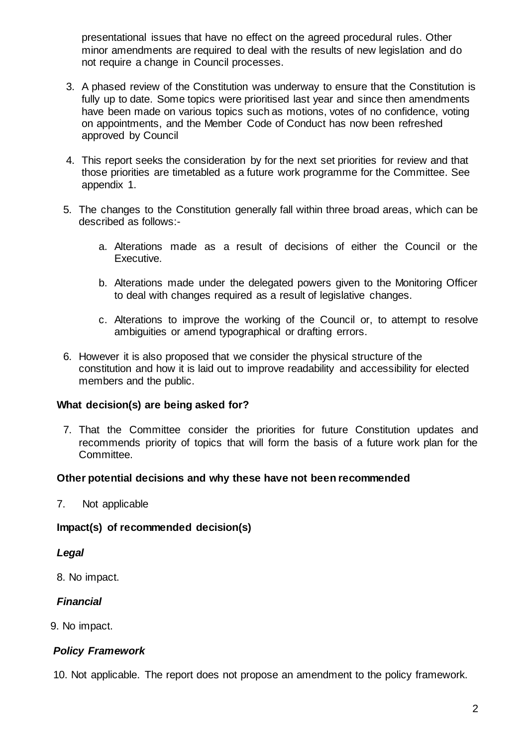presentational issues that have no effect on the agreed procedural rules. Other minor amendments are required to deal with the results of new legislation and do not require a change in Council processes.

- 3. A phased review of the Constitution was underway to ensure that the Constitution is fully up to date. Some topics were prioritised last year and since then amendments have been made on various topics such as motions, votes of no confidence, voting on appointments, and the Member Code of Conduct has now been refreshed approved by Council
- 4. This report seeks the consideration by for the next set priorities for review and that those priorities are timetabled as a future work programme for the Committee. See appendix 1.
- 5. The changes to the Constitution generally fall within three broad areas, which can be described as follows:
	- a. Alterations made as a result of decisions of either the Council or the Executive.
	- b. Alterations made under the delegated powers given to the Monitoring Officer to deal with changes required as a result of legislative changes.
	- c. Alterations to improve the working of the Council or, to attempt to resolve ambiguities or amend typographical or drafting errors.
- 6. However it is also proposed that we consider the physical structure of the constitution and how it is laid out to improve readability and accessibility for elected members and the public.

#### **What decision(s) are being asked for?**

7. That the Committee consider the priorities for future Constitution updates and recommends priority of topics that will form the basis of a future work plan for the Committee.

#### **Other potential decisions and why these have not been recommended**

7. Not applicable

#### **Impact(s) of recommended decision(s)**

#### *Legal*

8. No impact.

## *Financial*

9. No impact.

## *Policy Framework*

10. Not applicable. The report does not propose an amendment to the policy framework.